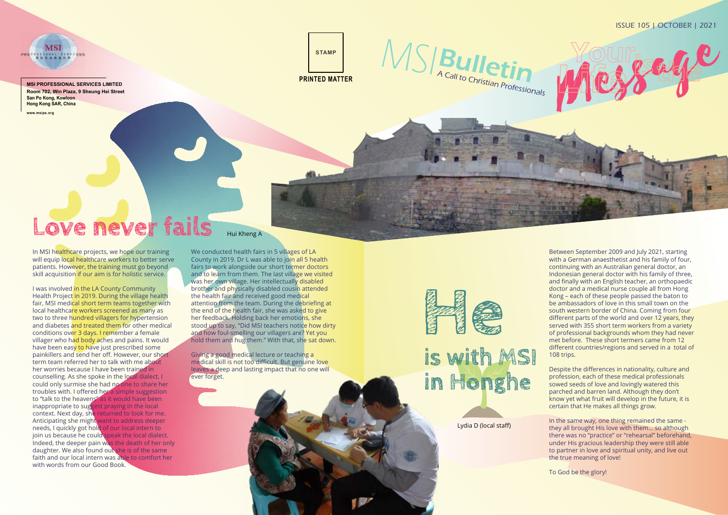

**MSI PROFESSIONAL SERVICES LIMITED Room 702, Win Plaza, 9 Sheung Hei Street San Po Kong, Kowloon Hong Kong SAR, China**

MSI

MSIBulletin A Call to Christian Professionals

Love never fails

**www.msips.org**

### ISSUE 105 | OCTOBER | 2021



We conducted health fairs in 5 villages of LA County in 2019. Dr L was able to join all 5 health fairs to work alongside our short termer doctors and to learn from them. The last village we visited was her own village. Her intellectually disabled brother and physically disabled cousin attended the health fair and received good medical attention from the team. During the debriefing at the end of the health fair, she was asked to give her feedback. Holding back her emotions, she stood up to say, "Did MSI teachers notice how dirty and how foul-smelling our villagers are? Yet you hold them and hug them." With that, she sat down.

Giving a good medical lecture or teaching a medical skill is not too difficult. But genuine love leaves a deep and lasting impact that no one will ever forget.



## is with MSI in Honghe

In MSI healthcare projects, we hope our training will equip local healthcare workers to better serve patients. However, the training must go beyond skill acquisition if our aim is for holistic service.

I was involved in the LA County Community Health Project in 2019. During the village health fair, MSI medical short term teams together with local healthcare workers screened as many as two to three hundred villagers for hypertension and diabetes and treated them for other medical conditions over 3 days. I remember a female villager who had body aches and pains. It would have been easy to have just prescribed some painkillers and send her off. However, our short term team referred her to talk with me about her worries because I have been trained in counselling. As she spoke in the local dialect, I could only surmise she had no one to share her troubles with. I offered her a simple suggestion to "talk to the heavens" as it would have been inappropriate to suggest praying in the local context. Next day, she returned to look for me. Anticipating she might want to address deeper needs, I quickly got hold of our local intern to join us because he could speak the local dialect. Indeed, the deeper pain was the death of her only daughter. We also found out she is of the same faith and our local intern was able to comfort her with words from our Good Book.

#### Hui Kheng A

Between September 2009 and July 2021, starting with a German anaesthetist and his family of four, continuing with an Australian general doctor, an Indonesian general doctor with his family of three, and finally with an English teacher, an orthopaedic doctor and a medical nurse couple all from Hong Kong – each of these people passed the baton to be ambassadors of love in this small town on the south western border of China. Coming from four different parts of the world and over 12 years, they served with 355 short term workers from a variety of professional backgrounds whom they had never met before. These short termers came from 12 different countries/regions and served in a total of 108 trips.

Despite the differences in nationality, culture and profession, each of these medical professionals sowed seeds of love and lovingly watered this parched and barren land. Although they don't know yet what fruit will develop in the future, it is certain that He makes all things grow.

In the same way, one thing remained the same they all brought His love with them… so although there was no "practice" or "rehearsal" beforehand, under His gracious leadership they were still able to partner in love and spiritual unity, and live out the true meaning of love!

To God be the glory!

Lydia D (local staff)